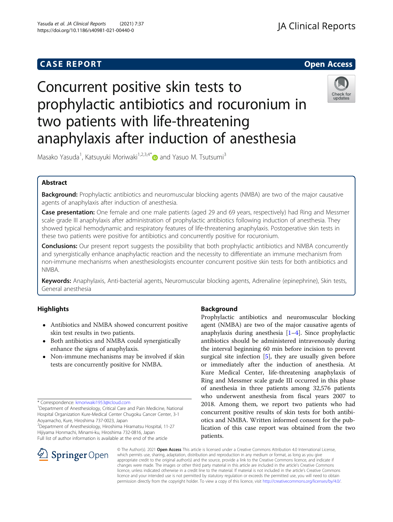# **CASE REPORT And SERVICE SERVICE SERVICE SERVICE SERVICE SERVICE SERVICE SERVICE SERVICE SERVICE SERVICE SERVICE**

# Concurrent positive skin tests to prophylactic antibiotics and rocuronium in two patients with life-threatening anaphylaxis after induction of anesthesia



Masako Yasuda<sup>1</sup>, Katsuyuki Moriwaki<sup>1,2,3,4\*</sup>@ and Yasuo M. Tsutsumi<sup>3</sup>

## Abstract

Background: Prophylactic antibiotics and neuromuscular blocking agents (NMBA) are two of the major causative agents of anaphylaxis after induction of anesthesia.

Case presentation: One female and one male patients (aged 29 and 69 years, respectively) had Ring and Messmer scale grade III anaphylaxis after administration of prophylactic antibiotics following induction of anesthesia. They showed typical hemodynamic and respiratory features of life-threatening anaphylaxis. Postoperative skin tests in these two patients were positive for antibiotics and concurrently positive for rocuronium.

**Conclusions:** Our present report suggests the possibility that both prophylactic antibiotics and NMBA concurrently and synergistically enhance anaphylactic reaction and the necessity to differentiate an immune mechanism from non-immune mechanisms when anesthesiologists encounter concurrent positive skin tests for both antibiotics and NMBA.

Keywords: Anaphylaxis, Anti-bacterial agents, Neuromuscular blocking agents, Adrenaline (epinephrine), Skin tests, General anesthesia

# **Highlights**

- Antibiotics and NMBA showed concurrent positive skin test results in two patients.
- Both antibiotics and NMBA could synergistically enhance the signs of anaphylaxis.
- Non-immune mechanisms may be involved if skin tests are concurrently positive for NMBA.

<sup>1</sup>Department of Anesthesiology, Critical Care and Pain Medicine, National Hospital Organization Kure-Medical Center Chugoku Cancer Center, 3-1 Aoyamacho, Kure, Hiroshima 737-0023, Japan

2 Department of Anesthesiology, Hiroshima Hiramatsu Hospital, 11-27 Hijiyama Honmachi, Minami-ku, Hiroshima 732-0816, Japan Full list of author information is available at the end of the article

# Background

Prophylactic antibiotics and neuromuscular blocking agent (NMBA) are two of the major causative agents of anaphylaxis during anesthesia  $[1-4]$  $[1-4]$  $[1-4]$  $[1-4]$  $[1-4]$ . Since prophylactic antibiotics should be administered intravenously during the interval beginning 60 min before incision to prevent surgical site infection  $[5]$  $[5]$ , they are usually given before or immediately after the induction of anesthesia. At Kure Medical Center, life-threatening anaphylaxis of Ring and Messmer scale grade III occurred in this phase of anesthesia in three patients among 32,576 patients who underwent anesthesia from fiscal years 2007 to 2018. Among them, we report two patients who had concurrent positive results of skin tests for both antibiotics and NMBA. Written informed consent for the publication of this case report was obtained from the two patients.



© The Author(s). 2021 Open Access This article is licensed under a Creative Commons Attribution 4.0 International License, which permits use, sharing, adaptation, distribution and reproduction in any medium or format, as long as you give appropriate credit to the original author(s) and the source, provide a link to the Creative Commons licence, and indicate if changes were made. The images or other third party material in this article are included in the article's Creative Commons licence, unless indicated otherwise in a credit line to the material. If material is not included in the article's Creative Commons licence and your intended use is not permitted by statutory regulation or exceeds the permitted use, you will need to obtain permission directly from the copyright holder. To view a copy of this licence, visit <http://creativecommons.org/licenses/by/4.0/>.

<sup>\*</sup> Correspondence: [kmoriwaki1953@icloud.com](mailto:kmoriwaki1953@icloud.com) <sup>1</sup>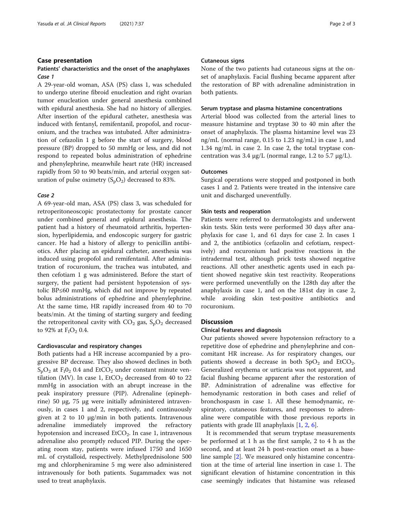#### Case presentation

#### Patients' characteristics and the onset of the anaphylaxes Case 1

A 29-year-old woman, ASA (PS) class 1, was scheduled to undergo uterine fibroid enucleation and right ovarian tumor enucleation under general anesthesia combined with epidural anesthesia. She had no history of allergies. After insertion of the epidural catheter, anesthesia was induced with fentanyl, remifentanil, propofol, and rocuronium, and the trachea was intubated. After administration of cefazolin 1 g before the start of surgery, blood pressure (BP) dropped to 50 mmHg or less, and did not respond to repeated bolus administration of ephedrine and phenylephrine, meanwhile heart rate (HR) increased rapidly from 50 to 90 beats/min, and arterial oxygen saturation of pulse oximetry  $(S_pO_2)$  decreased to 83%.

#### Case 2

A 69-year-old man, ASA (PS) class 3, was scheduled for retroperitoneoscopic prostatectomy for prostate cancer under combined general and epidural anesthesia. The patient had a history of rheumatoid arthritis, hypertension, hyperlipidemia, and endoscopic surgery for gastric cancer. He had a history of allergy to penicillin antibiotics. After placing an epidural catheter, anesthesia was induced using propofol and remifentanil. After administration of rocuronium, the trachea was intubated, and then cefotiam 1 g was administered. Before the start of surgery, the patient had persistent hypotension of systolic BP≤60 mmHg, which did not improve by repeated bolus administrations of ephedrine and phenylephrine. At the same time, HR rapidly increased from 40 to 70 beats/min. At the timing of starting surgery and feeding the retroperitoneal cavity with  $CO_2$  gas,  $S_pO_2$  decreased to 92% at  $F_1O_2$  0.4.

#### Cardiovascular and respiratory changes

Both patients had a HR increase accompanied by a progressive BP decrease. They also showed declines in both  $S_pO_2$  at  $F_1O_2$  0.4 and EtCO<sub>2</sub> under constant minute ventilation (MV). In case 1,  $EtCO<sub>2</sub>$  decreased from 40 to 22 mmHg in association with an abrupt increase in the peak inspiratory pressure (PIP). Adrenaline (epinephrine) 50 μg, 75 μg were initially administered intravenously, in cases 1 and 2, respectively, and continuously given at 2 to 10 μg/min in both patients. Intravenous adrenaline immediately improved the refractory hypotension and increased  $ECO<sub>2</sub>$ . In case 1, intravenous adrenaline also promptly reduced PIP. During the operating room stay, patients were infused 1750 and 1650 mL of crystalloid, respectively. Methylprednisolone 500 mg and chlorpheniramine 5 mg were also administered intravenously for both patients. Sugammadex was not used to treat anaphylaxis.

#### Cutaneous signs

None of the two patients had cutaneous signs at the onset of anaphylaxis. Facial flushing became apparent after the restoration of BP with adrenaline administration in both patients.

#### Serum tryptase and plasma histamine concentrations

Arterial blood was collected from the arterial lines to measure histamine and tryptase 30 to 40 min after the onset of anaphylaxis. The plasma histamine level was 23 ng/mL (normal range, 0.15 to 1.23 ng/mL) in case 1, and 1.34 ng/mL in case 2. In case 2, the total tryptase concentration was  $3.4 \mu g/L$  (normal range, 1.2 to 5.7 μg/L).

#### **Outcomes**

Surgical operations were stopped and postponed in both cases 1 and 2. Patients were treated in the intensive care unit and discharged uneventfully.

#### Skin tests and reoperation

Patients were referred to dermatologists and underwent skin tests. Skin tests were performed 30 days after anaphylaxis for case 1, and 61 days for case 2. In cases 1 and 2, the antibiotics (cefazolin and cefotiam, respectively) and rocuronium had positive reactions in the intradermal test, although prick tests showed negative reactions. All other anesthetic agents used in each patient showed negative skin test reactivity. Reoperations were performed uneventfully on the 128th day after the anaphylaxis in case 1, and on the 181st day in case 2, while avoiding skin test-positive antibiotics and rocuronium.

#### **Discussion**

#### Clinical features and diagnosis

Our patients showed severe hypotension refractory to a repetitive dose of ephedrine and phenylephrine and concomitant HR increase. As for respiratory changes, our patients showed a decrease in both  $SpO<sub>2</sub>$  and EtCO<sub>2</sub>. Generalized erythema or urticaria was not apparent, and facial flushing became apparent after the restoration of BP. Administration of adrenaline was effective for hemodynamic restoration in both cases and relief of bronchospasm in case 1. All these hemodynamic, respiratory, cutaneous features, and responses to adrenaline were compatible with those previous reports in patients with grade III anaphylaxis  $[1, 2, 6]$  $[1, 2, 6]$  $[1, 2, 6]$  $[1, 2, 6]$  $[1, 2, 6]$ .

It is recommended that serum tryptase measurements be performed at 1 h as the first sample, 2 to 4 h as the second, and at least 24 h post-reaction onset as a baseline sample [[2\]](#page-2-0). We measured only histamine concentration at the time of arterial line insertion in case 1. The significant elevation of histamine concentration in this case seemingly indicates that histamine was released